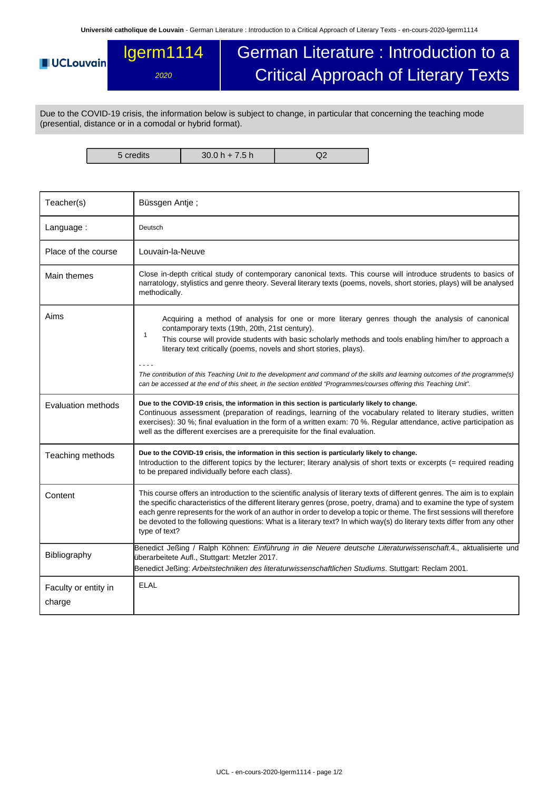## lgerm1114 German Literature : Introduction to a **UCLouvain** Critical Approach of Literary Texts 2020

Due to the COVID-19 crisis, the information below is subject to change, in particular that concerning the teaching mode (presential, distance or in a comodal or hybrid format).

5 credits 30.0 h + 7.5 h Q2

| Teacher(s)                     | Büssgen Antje;                                                                                                                                                                                                                                                                                                                                                                                                                                                                                                                                                                                             |  |  |  |
|--------------------------------|------------------------------------------------------------------------------------------------------------------------------------------------------------------------------------------------------------------------------------------------------------------------------------------------------------------------------------------------------------------------------------------------------------------------------------------------------------------------------------------------------------------------------------------------------------------------------------------------------------|--|--|--|
| Language:                      | Deutsch                                                                                                                                                                                                                                                                                                                                                                                                                                                                                                                                                                                                    |  |  |  |
| Place of the course            | Louvain-la-Neuve                                                                                                                                                                                                                                                                                                                                                                                                                                                                                                                                                                                           |  |  |  |
| Main themes                    | Close in-depth critical study of contemporary canonical texts. This course will introduce strudents to basics of<br>narratology, stylistics and genre theory. Several literary texts (poems, novels, short stories, plays) will be analysed<br>methodically.                                                                                                                                                                                                                                                                                                                                               |  |  |  |
| Aims                           | Acquiring a method of analysis for one or more literary genres though the analysis of canonical<br>contamporary texts (19th, 20th, 21st century).<br>$\mathbf{1}$<br>This course will provide students with basic scholarly methods and tools enabling him/her to approach a<br>literary text critically (poems, novels and short stories, plays).<br>The contribution of this Teaching Unit to the development and command of the skills and learning outcomes of the programme(s)<br>can be accessed at the end of this sheet, in the section entitled "Programmes/courses offering this Teaching Unit". |  |  |  |
| Evaluation methods             | Due to the COVID-19 crisis, the information in this section is particularly likely to change.<br>Continuous assessment (preparation of readings, learning of the vocabulary related to literary studies, written<br>exercises): 30 %; final evaluation in the form of a written exam: 70 %. Regular attendance, active participation as<br>well as the different exercises are a prerequisite for the final evaluation.                                                                                                                                                                                    |  |  |  |
| Teaching methods               | Due to the COVID-19 crisis, the information in this section is particularly likely to change.<br>Introduction to the different topics by the lecturer; literary analysis of short texts or excerpts (= required reading<br>to be prepared individually before each class).                                                                                                                                                                                                                                                                                                                                 |  |  |  |
| Content                        | This course offers an introduction to the scientific analysis of literary texts of different genres. The aim is to explain<br>the specific characteristics of the different literary genres (prose, poetry, drama) and to examine the type of system<br>each genre represents for the work of an author in order to develop a topic or theme. The first sessions will therefore<br>be devoted to the following questions: What is a literary text? In which way(s) do literary texts differ from any other<br>type of text?                                                                                |  |  |  |
| Bibliography                   | Benedict Jeßing / Ralph Köhnen: Einführung in die Neuere deutsche Literaturwissenschaft.4., aktualisierte und<br>überarbeitete Aufl., Stuttgart: Metzler 2017.<br>Benedict Jeßing: Arbeitstechniken des literaturwissenschaftlichen Studiums. Stuttgart: Reclam 2001.                                                                                                                                                                                                                                                                                                                                      |  |  |  |
| Faculty or entity in<br>charge | <b>ELAL</b>                                                                                                                                                                                                                                                                                                                                                                                                                                                                                                                                                                                                |  |  |  |